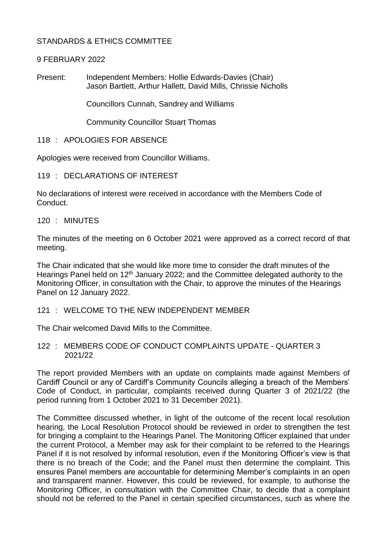# STANDARDS & ETHICS COMMITTEE

## 9 FEBRUARY 2022

Present: Independent Members: Hollie Edwards-Davies (Chair) Jason Bartlett, Arthur Hallett, David Mills, Chrissie Nicholls

Councillors Cunnah, Sandrey and Williams

Community Councillor Stuart Thomas

## 118 : APOLOGIES FOR ABSENCE

Apologies were received from Councillor Williams.

119 : DECLARATIONS OF INTEREST

No declarations of interest were received in accordance with the Members Code of Conduct.

### 120 : MINUTES

The minutes of the meeting on 6 October 2021 were approved as a correct record of that meeting.

The Chair indicated that she would like more time to consider the draft minutes of the Hearings Panel held on 12<sup>th</sup> January 2022; and the Committee delegated authority to the Monitoring Officer, in consultation with the Chair, to approve the minutes of the Hearings Panel on 12 January 2022.

## 121 : WELCOME TO THE NEW INDEPENDENT MEMBER

The Chair welcomed David Mills to the Committee.

122 : MEMBERS CODE OF CONDUCT COMPLAINTS UPDATE - QUARTER 3 2021/22

The report provided Members with an update on complaints made against Members of Cardiff Council or any of Cardiff's Community Councils alleging a breach of the Members' Code of Conduct, in particular, complaints received during Quarter 3 of 2021/22 (the period running from 1 October 2021 to 31 December 2021).

The Committee discussed whether, in light of the outcome of the recent local resolution hearing, the Local Resolution Protocol should be reviewed in order to strengthen the test for bringing a complaint to the Hearings Panel. The Monitoring Officer explained that under the current Protocol, a Member may ask for their complaint to be referred to the Hearings Panel if it is not resolved by informal resolution, even if the Monitoring Officer's view is that there is no breach of the Code; and the Panel must then determine the complaint. This ensures Panel members are accountable for determining Member's complaints in an open and transparent manner. However, this could be reviewed, for example, to authorise the Monitoring Officer, in consultation with the Committee Chair, to decide that a complaint should not be referred to the Panel in certain specified circumstances, such as where the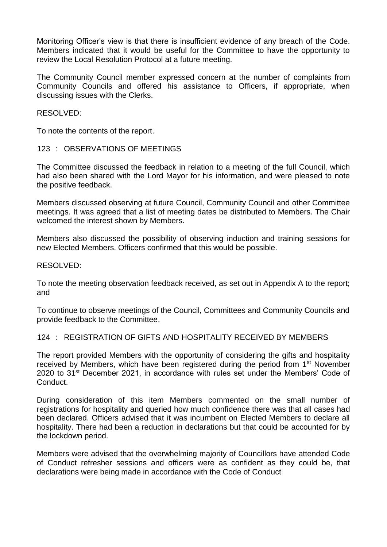Monitoring Officer's view is that there is insufficient evidence of any breach of the Code. Members indicated that it would be useful for the Committee to have the opportunity to review the Local Resolution Protocol at a future meeting.

The Community Council member expressed concern at the number of complaints from Community Councils and offered his assistance to Officers, if appropriate, when discussing issues with the Clerks.

RESOLVED:

To note the contents of the report.

### 123 : OBSERVATIONS OF MEETINGS

The Committee discussed the feedback in relation to a meeting of the full Council, which had also been shared with the Lord Mayor for his information, and were pleased to note the positive feedback.

Members discussed observing at future Council, Community Council and other Committee meetings. It was agreed that a list of meeting dates be distributed to Members. The Chair welcomed the interest shown by Members.

Members also discussed the possibility of observing induction and training sessions for new Elected Members. Officers confirmed that this would be possible.

### RESOLVED:

To note the meeting observation feedback received, as set out in Appendix A to the report; and

To continue to observe meetings of the Council, Committees and Community Councils and provide feedback to the Committee.

## 124 : REGISTRATION OF GIFTS AND HOSPITALITY RECEIVED BY MEMBERS

The report provided Members with the opportunity of considering the gifts and hospitality received by Members, which have been registered during the period from 1<sup>st</sup> November 2020 to 31<sup>st</sup> December 2021, in accordance with rules set under the Members' Code of Conduct.

During consideration of this item Members commented on the small number of registrations for hospitality and queried how much confidence there was that all cases had been declared. Officers advised that it was incumbent on Elected Members to declare all hospitality. There had been a reduction in declarations but that could be accounted for by the lockdown period.

Members were advised that the overwhelming majority of Councillors have attended Code of Conduct refresher sessions and officers were as confident as they could be, that declarations were being made in accordance with the Code of Conduct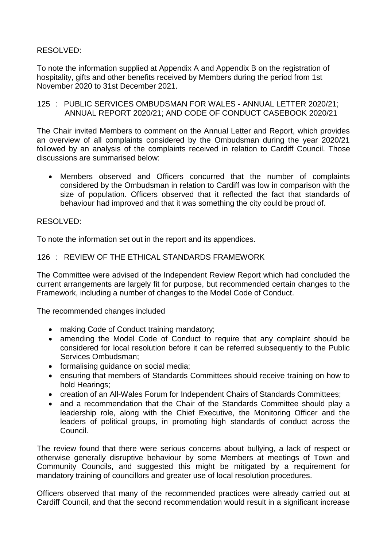## RESOLVED:

To note the information supplied at Appendix A and Appendix B on the registration of hospitality, gifts and other benefits received by Members during the period from 1st November 2020 to 31st December 2021.

### 125 : PUBLIC SERVICES OMBUDSMAN FOR WALES - ANNUAL LETTER 2020/21; ANNUAL REPORT 2020/21; AND CODE OF CONDUCT CASEBOOK 2020/21

The Chair invited Members to comment on the Annual Letter and Report, which provides an overview of all complaints considered by the Ombudsman during the year 2020/21 followed by an analysis of the complaints received in relation to Cardiff Council. Those discussions are summarised below:

 Members observed and Officers concurred that the number of complaints considered by the Ombudsman in relation to Cardiff was low in comparison with the size of population. Officers observed that it reflected the fact that standards of behaviour had improved and that it was something the city could be proud of.

## RESOLVED:

To note the information set out in the report and its appendices.

## 126 : REVIEW OF THE ETHICAL STANDARDS FRAMEWORK

The Committee were advised of the Independent Review Report which had concluded the current arrangements are largely fit for purpose, but recommended certain changes to the Framework, including a number of changes to the Model Code of Conduct.

The recommended changes included

- making Code of Conduct training mandatory;
- amending the Model Code of Conduct to require that any complaint should be considered for local resolution before it can be referred subsequently to the Public Services Ombudsman;
- formalising guidance on social media:
- ensuring that members of Standards Committees should receive training on how to hold Hearings;
- creation of an All-Wales Forum for Independent Chairs of Standards Committees;
- and a recommendation that the Chair of the Standards Committee should play a leadership role, along with the Chief Executive, the Monitoring Officer and the leaders of political groups, in promoting high standards of conduct across the Council.

The review found that there were serious concerns about bullying, a lack of respect or otherwise generally disruptive behaviour by some Members at meetings of Town and Community Councils, and suggested this might be mitigated by a requirement for mandatory training of councillors and greater use of local resolution procedures.

Officers observed that many of the recommended practices were already carried out at Cardiff Council, and that the second recommendation would result in a significant increase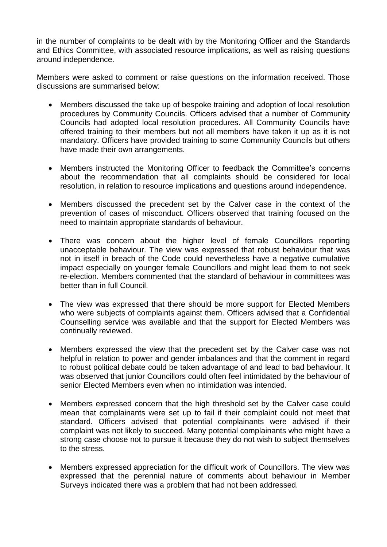in the number of complaints to be dealt with by the Monitoring Officer and the Standards and Ethics Committee, with associated resource implications, as well as raising questions around independence.

Members were asked to comment or raise questions on the information received. Those discussions are summarised below:

- Members discussed the take up of bespoke training and adoption of local resolution procedures by Community Councils. Officers advised that a number of Community Councils had adopted local resolution procedures. All Community Councils have offered training to their members but not all members have taken it up as it is not mandatory. Officers have provided training to some Community Councils but others have made their own arrangements.
- Members instructed the Monitoring Officer to feedback the Committee's concerns about the recommendation that all complaints should be considered for local resolution, in relation to resource implications and questions around independence.
- Members discussed the precedent set by the Calver case in the context of the prevention of cases of misconduct. Officers observed that training focused on the need to maintain appropriate standards of behaviour.
- There was concern about the higher level of female Councillors reporting unacceptable behaviour. The view was expressed that robust behaviour that was not in itself in breach of the Code could nevertheless have a negative cumulative impact especially on younger female Councillors and might lead them to not seek re-election. Members commented that the standard of behaviour in committees was better than in full Council.
- The view was expressed that there should be more support for Elected Members who were subjects of complaints against them. Officers advised that a Confidential Counselling service was available and that the support for Elected Members was continually reviewed.
- Members expressed the view that the precedent set by the Calver case was not helpful in relation to power and gender imbalances and that the comment in regard to robust political debate could be taken advantage of and lead to bad behaviour. It was observed that junior Councillors could often feel intimidated by the behaviour of senior Elected Members even when no intimidation was intended.
- Members expressed concern that the high threshold set by the Calver case could mean that complainants were set up to fail if their complaint could not meet that standard. Officers advised that potential complainants were advised if their complaint was not likely to succeed. Many potential complainants who might have a strong case choose not to pursue it because they do not wish to subject themselves to the stress.
- Members expressed appreciation for the difficult work of Councillors. The view was expressed that the perennial nature of comments about behaviour in Member Surveys indicated there was a problem that had not been addressed.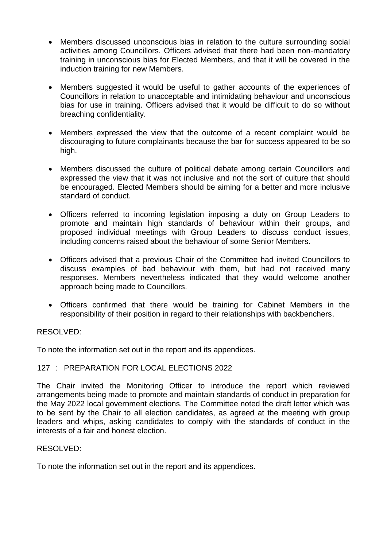- Members discussed unconscious bias in relation to the culture surrounding social activities among Councillors. Officers advised that there had been non-mandatory training in unconscious bias for Elected Members, and that it will be covered in the induction training for new Members.
- Members suggested it would be useful to gather accounts of the experiences of Councillors in relation to unacceptable and intimidating behaviour and unconscious bias for use in training. Officers advised that it would be difficult to do so without breaching confidentiality.
- Members expressed the view that the outcome of a recent complaint would be discouraging to future complainants because the bar for success appeared to be so high.
- Members discussed the culture of political debate among certain Councillors and expressed the view that it was not inclusive and not the sort of culture that should be encouraged. Elected Members should be aiming for a better and more inclusive standard of conduct.
- Officers referred to incoming legislation imposing a duty on Group Leaders to promote and maintain high standards of behaviour within their groups, and proposed individual meetings with Group Leaders to discuss conduct issues, including concerns raised about the behaviour of some Senior Members.
- Officers advised that a previous Chair of the Committee had invited Councillors to discuss examples of bad behaviour with them, but had not received many responses. Members nevertheless indicated that they would welcome another approach being made to Councillors.
- Officers confirmed that there would be training for Cabinet Members in the responsibility of their position in regard to their relationships with backbenchers.

# RESOLVED:

To note the information set out in the report and its appendices.

# 127 : PREPARATION FOR LOCAL ELECTIONS 2022

The Chair invited the Monitoring Officer to introduce the report which reviewed arrangements being made to promote and maintain standards of conduct in preparation for the May 2022 local government elections. The Committee noted the draft letter which was to be sent by the Chair to all election candidates, as agreed at the meeting with group leaders and whips, asking candidates to comply with the standards of conduct in the interests of a fair and honest election.

## RESOLVED:

To note the information set out in the report and its appendices.